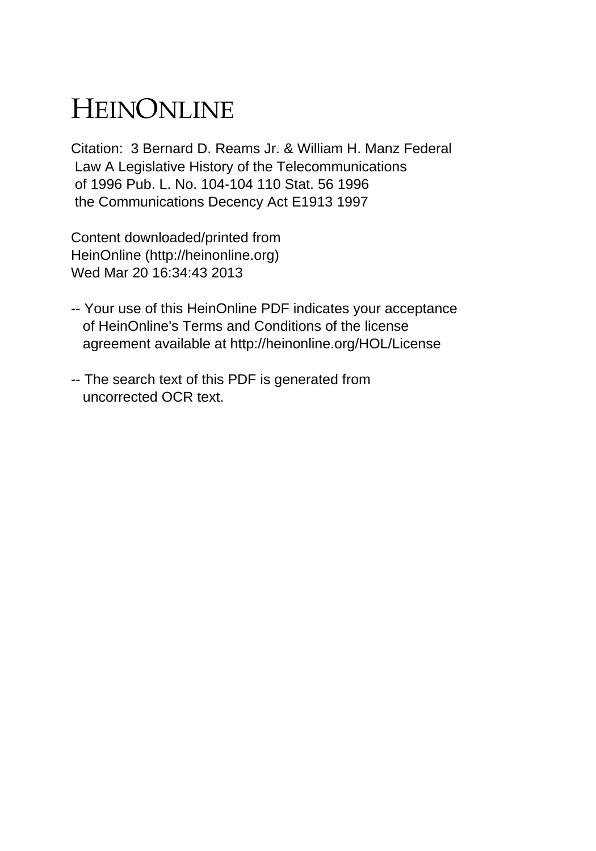# HEINONLINE

Citation: 3 Bernard D. Reams Jr. & William H. Manz Federal Law A Legislative History of the Telecommunications of 1996 Pub. L. No. 104-104 110 Stat. 56 1996 the Communications Decency Act E1913 1997

Content downloaded/printed from HeinOnline (http://heinonline.org) Wed Mar 20 16:34:43 2013

- -- Your use of this HeinOnline PDF indicates your acceptance of HeinOnline's Terms and Conditions of the license agreement available at http://heinonline.org/HOL/License
- -- The search text of this PDF is generated from uncorrected OCR text.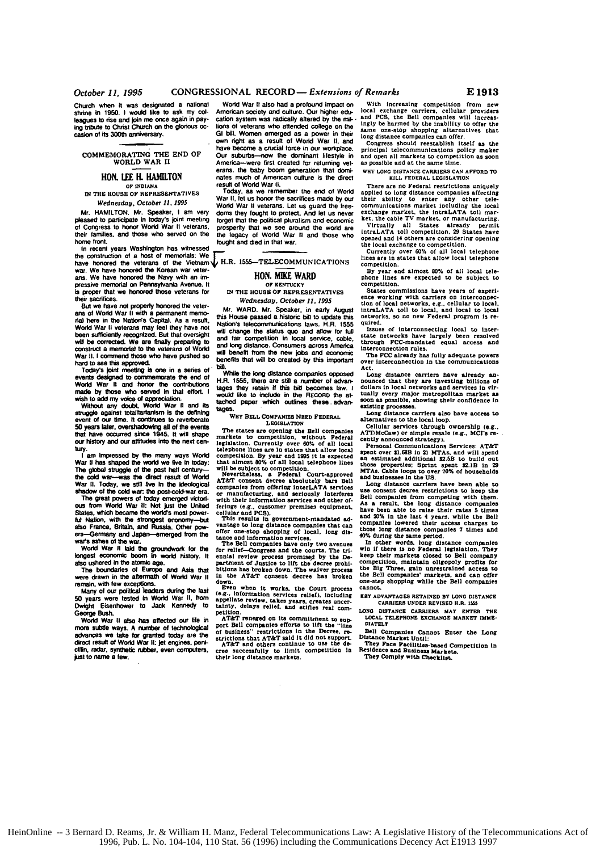the coeff years Washington has witnessed<br>the construction of a host of all local telephone<br>have honored the velocal of memorials: We lines are in states that allow local telephone<br>have honored the velocal of the Vietnam W. have honored the veterans of the Vietnam H.R. 1555-TELECOMMUNICATIONS competition.<br>
war. We have honored the Korean war veter-<br> **war. We have honored the Korean war veter-**<br> **EXECOMMUNICATIONS** competition. By year end alm war. We have **honored the** Korean war vete- **By** year end almost **80% of** all local tele- ars. We have **honored** the Navy **with** an **im- HON. MIKE** WARD phone lines **are** expected to be subject to pressive memorial on Pennsylvania Avenue. It<br>
is proper that we honored those veterans for **IN THE HOUSE OF REPRESENTATIVES** States commissions have years of experi-Is proper that we **honored those** veterans **for** IN THE **HOflUSE OF** REPRESENTATIVES States commissions have **years** of experi-

will be corrected. We are finally preparing to construct a memorial to the veterans of World War il. I commend those who have pushed so

Today's joint meeting is one in a series of bill.<br>
While the long distance companies opposed<br>
world War II and honor the contributions tages they retain if this bill a number of advan-<br>
World War II and honor the contribut

wish to also my voice of appreciation.<br>Without any doubt, World War ii and its tached paper which outlines these advan-existing processes.<br>struggle against totalitarianism is the defining tages. event of our time. It continues to reverber the vent of **our time. It continues to reverber the aiter of** *SEC***OMPANIES NEED FEDERAL** alternatives to the local loop.<br>
So years later, overshadowing all of the events The stat

States, which became the world's most power-<br>ful Nation, with the strongest economy-but<br>also France, Britain, and Russia. Other powbasics, which the strongers economy-but. This results in government-mandated ad-<br>also France, Striain, and Russia. Other power was taken to long distance companies that can be be a straight of<br>strongers to long distance co

not **diect result of World War II:** jet engines and the sections that AT&T said it did not support. Distance Market Until:<br>direct result of World War II: jet engines, pari-<br> $\frac{1}{2}$  AT&T and others continue to use the deusion issues of views was in particularly and the particular continue to use the de- they race Pacificies-based Co<br>Cliffic, radia, symbratic rubber, even computers, cree successfully to limit competition in Residence and B

Church when it was designated a national World War II also had a profound impact on With Increasing competition from new<br>shrine in 1950. I would like to ask my col-American society and culture. Our higher edu-local exchang shrine in 1950. I would like to ask my col-<br>
interior society and culture. Our higher edu-<br>
local exchange carriers, celular providers<br>
leagues to rise and pin more equal in pay-<br>
leagues to rise and prime once again in pa ave become a crucial torce in our workplace. principal telecommunications policy maker<br>COMMEMORATING THE END OF Super suburbs—now the dominant lifestyle in and open all markets to competition as son<br>WORLD WAR II America—we **erans. the baby boom generation that domi- WHY LONG DISTANCE CARRIERS CAN AFFORD TO** and the baby boom generation that domi-<br> **PROBLICE CAN ARRIGATION HON. LEE H. HAMILTON** calles much of American culture is the direct **KILL FEDERAL LEGISLATION**<br>
of INDIANA result of World War II.<br>
There are no Federal restrictions unjouely

Mr. HAMILTON. Mr. Speaker, I am very volume with the policies the use gas of the bound of competition.<br>
The pleased to participate in today's joint meeting forget that the policies plumate exchange market, the intra-LATA

ans of word war it with a permanent memo-<br>rial here in the Nation's Capital. As a result, this House passed a historic bill to update this networks, so no new Federal program is re-<br>world War II veterans may feel they have wind daring the states quot are across America that access have largely been resolved.<br>and long distance. Consumers across America through FCC-mandated equal access and<br>will benefit from the new jobs and economic in the FC War il. I commend those who have pushed so will be health from the new jobs and economic. The FCC already has fully adequate powers<br>hard to see this approved.

tages they retain if this bill becomes law. I dollars in local networks and services in vir-<br>would like to include in the RECORD the at-<br>tually every major metropolitan market as<br>tached paper which outlines these advants c

50 years later, overshadowing all of the events<br>the states are opening the Bell companies<br>our history and our attitudes into the next center at a competition, without Federal<br>our history and our attitudes into the next ce **am** Impressed by the **many** ways **World** competition. **By** year end **1995** it is expected **an** estimated additional **52.5B** to build out

the cold war--wa **the direct** result of **World** Nevertheless, a Federal Court-approved **and** businesses **on** the **US.** War **II.** Today, we still live in the ideological accreement decree aboolutely bars Bell Long distance carriers have been able to War II. Today, we still live in the ideological companies from offering interLATA services use consent detections to be to a companies from offering interLATA services use consent detections to been able to The great down

Many of our political leaders during the last  $\begin{array}{l}$  even wenn it works, the Court process cannot.<br>50 years were tested in World War II, from appellate review, takes years, creates uncercan an avantage RETAINED BY LONG

World War II also has affected our life in AT&T reneged on its commitment to sup-<br>more subdie ways. A number of technological Port Bell companies efforts to lift the "line" DIATELT<br>advances we take for granted today are th

or INDIANA result of World War II. Here are no Federal restrictions uniquely<br>IN THE HOUSE OF REPRESENTATIVES TOday, as we remember the end of World applied to long distance companies affecting<br>Wednesday, October 11, 1995 W

their sacrifices.<br> **their sacrifices.**<br> **But we have not property honored the veter-** *Wednesday.* **October 11, 1995 tion of local networks. e.g.. cellular to local.** But we have not properly honored the veter-<br>ans of World War II with a permanent memo-<br>ans of World War II with a permanent memo- wie Houre person is bit to undete this networks so no haw Eaders! norman is re-

**exploit the long distance companies opposed** Cong distance carriers have already and **TH.R. 1555, there are still a nurmber of advan-** nounced that they are investing billions of the tages they relation of the tages they

Extribute and we can be allowed that allows the cently announced strategy.<br> **Personal Communications Services:** AT&T<br> **Spend over \$1.689 in 21 MTAs, and will spend** 

War II has shaped the world we live in today: that almost 80% of all local telephone lines those properties. Sprint spent at 1990.<br>The global struggle of the past half century— will be subject to competition. MTAs. Cable l

World War il laid the groundwork for the for relief—Congress and the courts. The tri-<br>longest economic boom in world history. It ennis review process promised by the De-<br>less ushered in the abomic age.<br>also ushered in the The boundaries of Europe and Asia that bitions has broken down. The waiver process the Big Three, gain unrestration access to the Region of World War ii the behind of World War ii the Alter conserved were drawn in the alte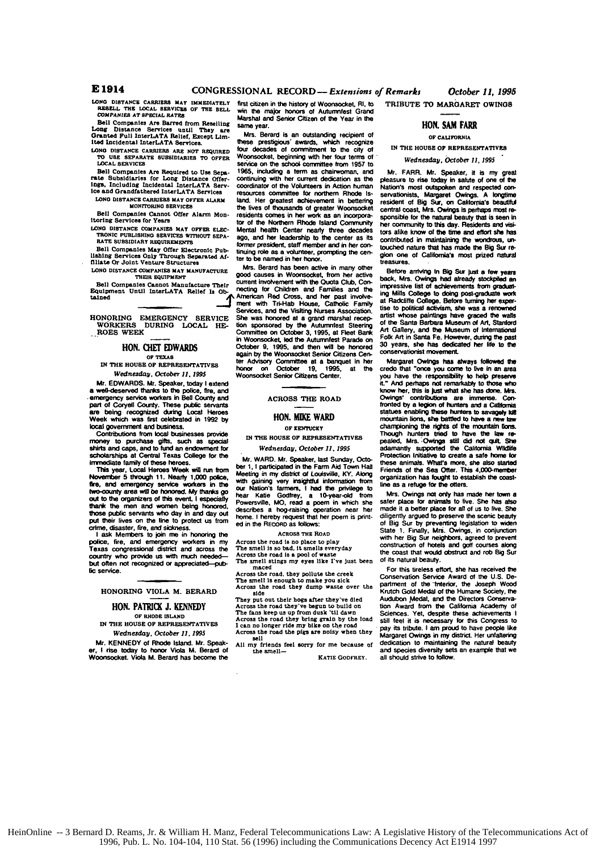Long Distance Services until They are servery as a outstanding recipient of<br>Granted Pull InterLATA Relist, Except Lim-<br>Ited Incidental InterLATA Services. These prestigious awards, which recognize

**Ilges** Including Incidental InterLATA **Sere-** coordinator of the Volunteers in Action human *ice* and Grandfathered InterLATA Services resources committee for northem Rhode Is-

Bell Companies May Offer Electronic Pub-<br>liabing Rervices Only Through Separated Af-<br>Illiate Or Joint Venture Structures

**HONORING** EMERGENCY SERVICE **She** was honored at a grand marsha recep-

Mr. EDWARDS. Mr. Speaker, today **I extend** a well-deserved **thanks** to **the** police, **fire,** *and* emergency service workers in **Beg** County **and** ACROSS **THE** ROAD **part** of Coryall County. These **public** servards ea being recognized during Local Heroes which was first celebrated on **1992** by **HON. MIKE WARD**<br>Week which was first celebrated in 1992 by **HON. MIKE WARD**<br>Local government and business.

Contributions from local businesses provide<br>money to purchase gifts, such as special in the HOUSE OF REPRESENTATIVES<br>shirts and caps, and to fund an endowment for Wednesday, October 11, 1995

thank the men and women being honored. Powersville, MU, read a poem in which she<br>those public servants who day in and day out describes a hog-raising operation near her those public servants who day in and day out **bescribes a hog-raising** operation hear hereby request that her poem is print-<br>put their lives on the fine to protect us from editional as *Record near follower* 

put mean inves on the area to protect us trom<br> **Cime, disaster, fire, and sickness. I**ask Members to join me in honoring the ACROSS THE ROAD<br> **I**ask Members to join me in honoring the ACROSS THE ROAD<br> **Texas** congression police, fire, and emergency workers in my Across the **road Is** no place to play Texas congressional district and across the The smell **is** so **bad,** it smells everyday counry **who** provide **us** with much needed- Across the **road** is **a pool of waste** but often not recognized or appreciated-pub-<br>lic service.

**sell** Mr. **KENNEDY of** Rhode Island. Mr. Speak- **All** my friends **feel** sorry for me because of *er,* I rise today to **honor** Viola M. Berard **of** the smell-Woonsocket. Viola M. Berard has become the **KArlE GODFREY.**

LONG DISTANCE CARRIERS MAY IMMEDIATELY first critican in the history of Woonsocket, RI, to<br>RESELL THE LOCAL SERVICES OF THE BELL win the major for once of Autummiest Grand<br>COMPANIES AT SPECIAL RATES COMPANIES AT SPECIAL RATES<br>Bell Companies Are Barred from Reselling same year.

LORD DISTANCE CARRIERS ARE NOT REQUIRED four decades of commitment to the city of<br>TO USE SEPARTE SUBSIDIARIES TO OFFER Woonsocket, beginning with her four terms of<br>LOCAL SEPARTE SUBSIDIARIES TO OFFER Yeaving on the school service on the school committee from 1957 to 1965, including a term as chairwoman, and Bell Companies Are Required to Use Sepa- *1965,* including a term as chairwoman, and rate Subsidiaries for Long Distance Offer- continuing with her **current** dedcation as **the LONG DISTANCE CARRIERS MAY OFFER ALARM <b>land.** Her greatest achievement in bettering MONITORINO SERVICES the *lime* ives of thousands of greater Woonsodiet in bettering the lives of thousands of the absorber Woonsodiet Co Bell Companies Cannot Offer Alarm Mon- residents comes in her work as an incorpora-<br>Itoring Services for Years **for the Northern Rhode Island Community**<br>
LONG DISTANCE COMPANIES MAY OFFER ELEC- Mental health Center nearly LONG DISTANCE COMPANIES MAY OPTER ELEC- Mentium reduces that the second through service POISTANCE COMPANIES MAY OPTER ELEC- Mental health Center as its resolution in the center as its RATE SUBSIDIARY REQUIREMENTS former pr

**LONG DISTANCE COMPANIES** MAY **MANUFACTURE Mrs. Berard has been active in many other** THEIR **EQUPM** good causes in Woonsocket, from her asctive **Bell** Companies Cannot Manufacture Their current involvement with the Ouota **Club.** Con-Equipment Until InterLATA Relief **Is Ob-** necting **<sup>f</sup> one community** of **Children and Families** and the **American Red Cross**. and her past involvetained 4 names and the Transaction Transaction Red Cross, and her past involve-<br>
meat with Tri-Hab House, Family Rurses Association.<br>
Services, and the Visiting Nurses Association. **SERVICE** She was honored at a grand marshal recep-<br>DCAL **HE-** tion sponsored by the Autumnfest Steering<br>Committee on October 3, 1995, at Fleet Bank ROES WEEK Committee on October **3, 1995.** at Fleet **Bank** in Woonsocket, **led the** Autuninfest Parade **on** HUN. CHET EDWARDS october 9, 1995, and then will be honored<br>again by the Woonsocket Senior Citizens Cen-<br>IN THE HOUSE OF REPRESENTATIVES for Advisory Committee at a banquet in her<br>IN THE HOUSE OF REPRESENTATIVES for Octobe

screaments are determined in the state Council of the M. WARD. Mr. Speaker, last Sunday, Octo-<br>This year, Local Heroes Week will run from ber 1, I participated in the Farm Aid Town Hall<br>November 5 through 11. Nearly 1.000 bear Katie Godfrey, a 10-year-old from<br>Powersville, MO, read a poem in which she

**cservice.** Across the **road.** they pollute the creek The smell **Is** enough to make **you** sick Across the **road** they **dump** waste over the HONORING VIOLA **M.** BERARD side

side<br>They put out their hogs after they've died **HON. PATRICK J. KENNEDY** Across the road they've begun to build on<br>The fans keep us up from dusk til dawn<br>MEE HOUSE OF REPRESENTATIVES<br>I can no longer ride my blike on the road Wednesday. October **11. 1995** Across the road the **pigs are** noisy when they

TRIBUTE TO MARGARET **OWINGS**

### **HON. SAM** FARR

**OF CALIFORNIA**

**IN** THE **HOUSE OF** REPRESENTATIVES

Wednesday, October **11. 1995**

Mr. FARR. **Mr.** Speaker, **it** is my great pleasure to rise today in salute of one of **the** Nation's most outspoken and respected conservationists, Margaret Owings. A longtime<br>resident of Big Sur, on California's beautiful central coast, Mrs. Owings is perhaps **most** responsible for **the** natural beauty that is seen in her conuTrunity to **this** day. Residents and **visi**tors alike know **of** the time and **efort** she has contributed in maintaining the wondrous, **un**touched nature **tat** has made **the Big** Stx reglen one of Caiforia's most prized **natural** treasures.

Before arriving in Big Sur just a few years<br>back, Mrs. Owings had already stockpiled an<br>impressive list of achievements from graduating Milts College to doing post-graduate worf at Radcliffe College. Before turning her expertise to political activism, she was a renowned<br>artist whose paintings have graced the walls of the Santa Barbara Museum of **Art,** Stardord **Art** Gatery, and **the** Museum **of** Intemational **Folk** Art in **Santa** Fe. However, durig the past **30** years, she **has** dedicated her **fife** to **th** conservationist movement.

Margaret **Owngs** has always followed *the* credo that "once you come to live in an area you have the responsibility to help preserve<br>it." And perhaps not remarkably to those who know her, this is just what she has done. Mrs.<br>Owings' contributions are immense. Confronted by a legon of hunters **and** a Calfornia statues enabling **these** umsers to savagety **n** mountain lions, **she** battled to have a rww **law** chamitoning **the** rights of **the mountain Gors.** Though **hunters** tied **to** have the law re-pealed, **Mrs.** Owngs still did **not** *Qui* **She** adamantly supported the California Widlife Protection Initiative to create a safe **home** for **these** animals. What's more, she also stalted Friends of the Sea Otter. This 4,000-member organization has fought to establish the coastline as a refuge for **the** otters.

Mrs. Owings not only has **made** her town a safer place for animals to live. She has also<br>made it a better place for all of us to live. She diligently argued to preserve the scenic beauty of Big **Sur by** preventing legislation to widen State **1.** Finally, **Mrs.** Owings, in conjunction with her Big Sur neighbors, agreed to prevent construction of hotels and golf course the coast that would obstruct and rob **Big Sur of its** natural beauty.

For this tireless **effort, she** has received **te** Conservation Service Award **of** the **U.S.** Department of the -interior, the Josept Wood Krutch Gold Medal of **the** Humane Society, the Audubon Medal, **ard** the Directors Conserve-**tion** Award from the **California** Academy **of** Sciences. Yet, despite these achievements **I** still feel it is necessary **for** this Congress to pay **its** tribute. **I** am proud to have people Ike waret Owings in my district. Her unfattering dedication to maintaining the natural beauty and species diversity sets an **examle** that we all should strive to **follow.**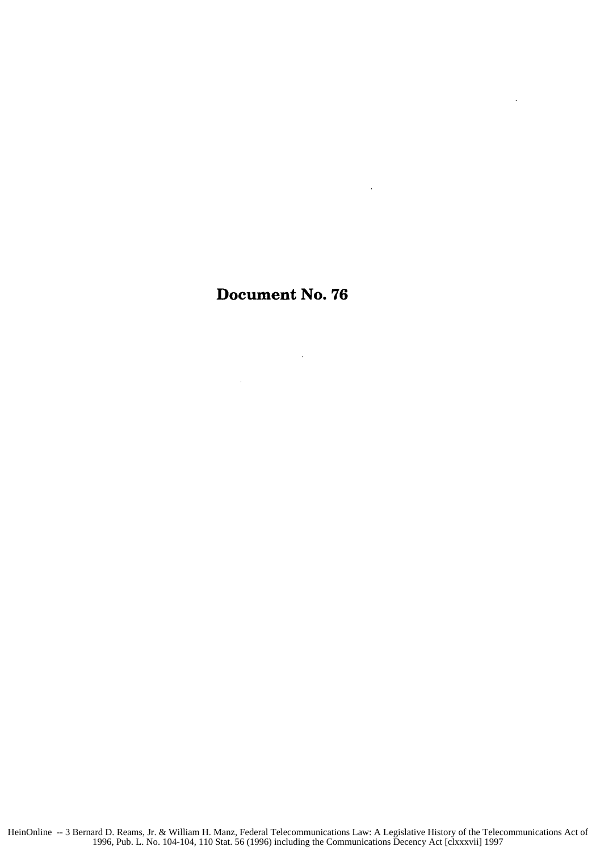## Document No. **76**

 $\mathcal{L}(\mathcal{L}^{\text{max}})$  and  $\mathcal{L}(\mathcal{L}^{\text{max}})$ 

 $\mathcal{L}_{\text{max}}$  and  $\mathcal{L}_{\text{max}}$ 

 $\mathcal{L}$ 

 $\ddot{\phantom{0}}$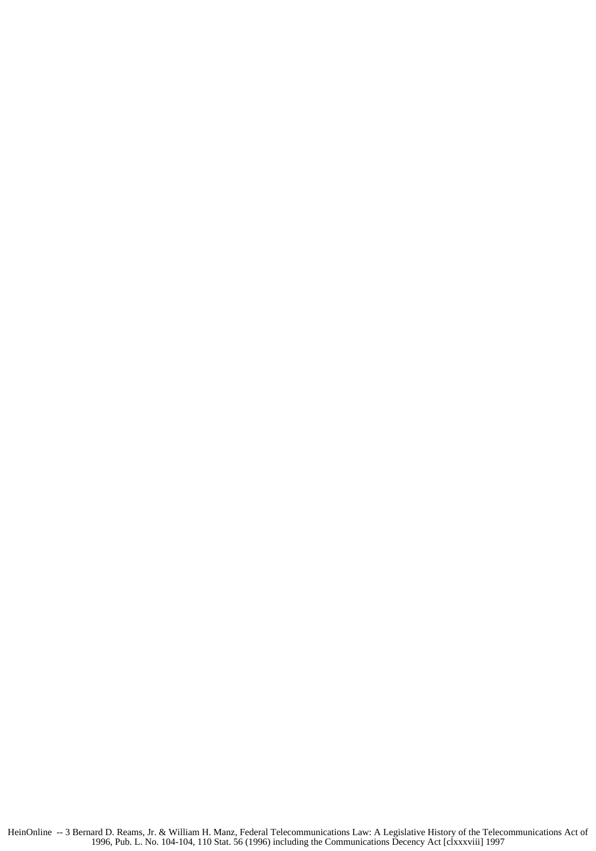HeinOnline -- 3 Bernard D. Reams, Jr. & William H. Manz, Federal Telecommunications Law: A Legislative History of the Telecommunications Act of 1996, Pub. L. No. 104-104, 110 Stat. 56 (1996) including the Communications Decency Act [clxxxviii] 1997